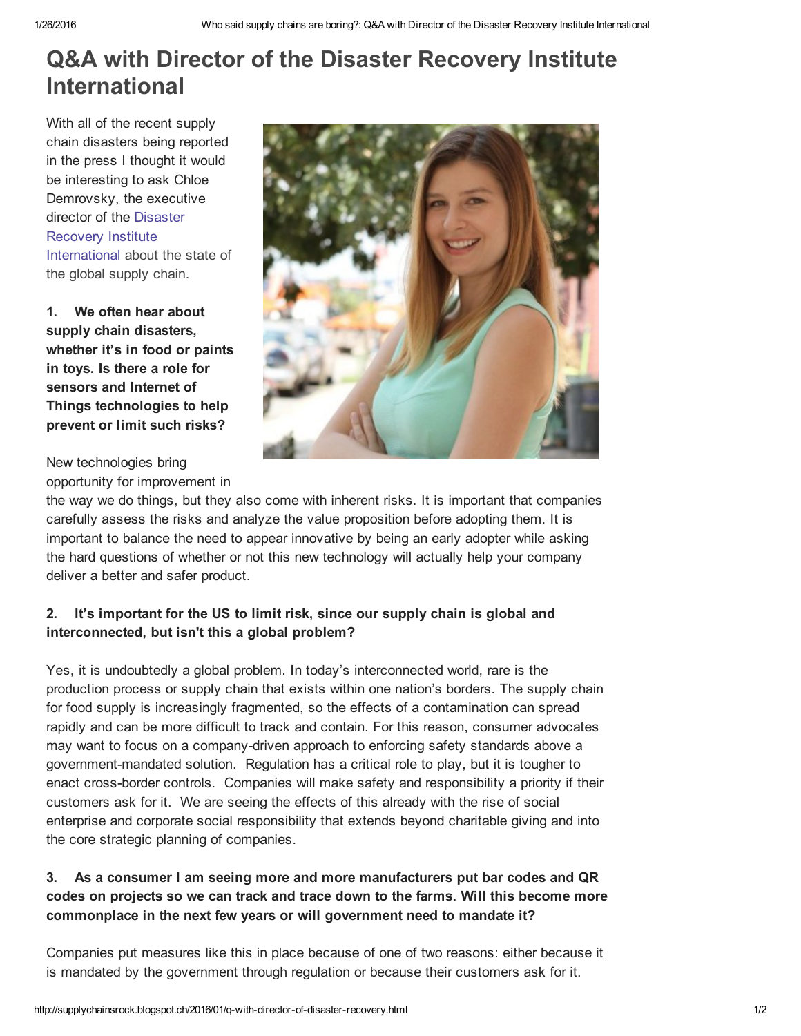# Q&A with Director of the Disaster Recovery Institute International

With all of the recent supply chain disasters being reported in the press I thought it would be interesting to ask Chloe Demrovsky, the executive director of the Disaster Recovery Institute [International](https://www.drii.org/) about the state of the global supply chain.

1. We often hear about supply chain disasters, whether it's in food or paints in toys. Is there a role for sensors and Internet of Things technologies to help prevent or limit such risks?

New technologies bring opportunity for improvement in

the way we do things, but they also come with inherent risks. It is important that companies carefully assess the risks and analyze the value proposition before adopting them. It is important to balance the need to appear innovative by being an early adopter while asking the hard questions of whether or not this new technology will actually help your company deliver a better and safer product.

## 2. It's important for the US to limit risk, since our supply chain is global and interconnected, but isn't this a global problem?

Yes, it is undoubtedly a global problem. In today's interconnected world, rare is the production process or supply chain that exists within one nation's borders. The supply chain for food supply is increasingly fragmented, so the effects of a contamination can spread rapidly and can be more difficult to track and contain. For this reason, consumer advocates may want to focus on a company-driven approach to enforcing safety standards above a government-mandated solution. Regulation has a critical role to play, but it is tougher to enact cross-border controls. Companies will make safety and responsibility a priority if their customers ask for it. We are seeing the effects of this already with the rise of social enterprise and corporate social responsibility that extends beyond charitable giving and into the core strategic planning of companies.

### 3. As a consumer I am seeing more and more manufacturers put bar codes and QR codes on projects so we can track and trace down to the farms. Will this become more commonplace in the next few years or will government need to mandate it?

Companies put measures like this in place because of one of two reasons: either because it is mandated by the government through regulation or because their customers ask for it.